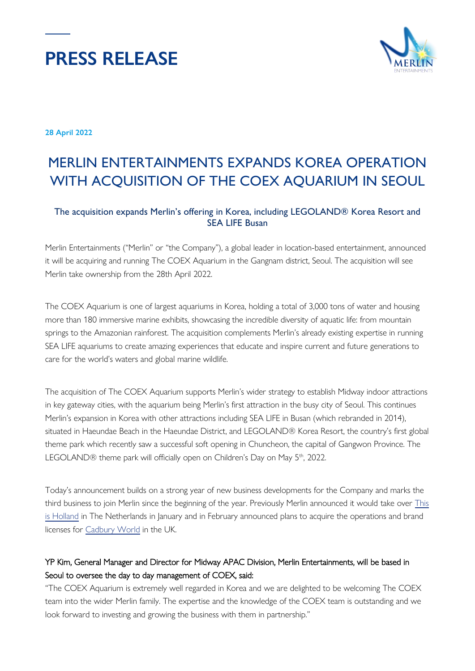



**28 April 2022**

# MERLIN ENTERTAINMENTS EXPANDS KOREA OPERATION WITH ACQUISITION OF THE COEX AQUARIUM IN SEOUL

# The acquisition expands Merlin's offering in Korea, including LEGOLAND® Korea Resort and SEA LIFE Busan

Merlin Entertainments ("Merlin" or "the Company"), a global leader in location-based entertainment, announced it will be acquiring and running The COEX Aquarium in the Gangnam district, Seoul. The acquisition will see Merlin take ownership from the 28th April 2022.

The COEX Aquarium is one of largest aquariums in Korea, holding a total of 3,000 tons of water and housing more than 180 immersive marine exhibits, showcasing the incredible diversity of aquatic life: from mountain springs to the Amazonian rainforest. The acquisition complements Merlin's already existing expertise in running SEA LIFE aquariums to create amazing experiences that educate and inspire current and future generations to care for the world's waters and global marine wildlife.

The acquisition of The COEX Aquarium supports Merlin's wider strategy to establish Midway indoor attractions in key gateway cities, with the aquarium being Merlin's first attraction in the busy city of Seoul. This continues Merlin's expansion in Korea with other attractions including SEA LIFE in Busan (which rebranded in 2014), situated in Haeundae Beach in the Haeundae District, and LEGOLAND® Korea Resort, the country's first global theme park which recently saw a successful soft opening in Chuncheon, the capital of Gangwon Province. The LEGOLAND® theme park will officially open on Children's Day on May 5<sup>th</sup>, 2022.

Today's announcement builds on a strong year of new business developments for the Company and marks the third business to join Merlin since the beginning of the year. Previously Merlin announced it would take over [This](https://www.merlinentertainments.biz/newsroom/news-releases/2022/merlin-entertainments-expands-netherlands-operation-with-management-of-this-is-holland-experience/)  [is Holland](https://www.merlinentertainments.biz/newsroom/news-releases/2022/merlin-entertainments-expands-netherlands-operation-with-management-of-this-is-holland-experience/) in The Netherlands in January and in February announced plans to acquire the operations and brand licenses for [Cadbury World](https://www.merlinentertainments.biz/newsroom/news-releases/2022/merlin-entertainments-and-mondel%C4%93z-international-announce-new-cadbury-world-partnership/) in the UK.

# YP Kim, General Manager and Director for Midway APAC Division, Merlin Entertainments, will be based in Seoul to oversee the day to day management of COEX, said:

"The COEX Aquarium is extremely well regarded in Korea and we are delighted to be welcoming The COEX team into the wider Merlin family. The expertise and the knowledge of the COEX team is outstanding and we look forward to investing and growing the business with them in partnership."